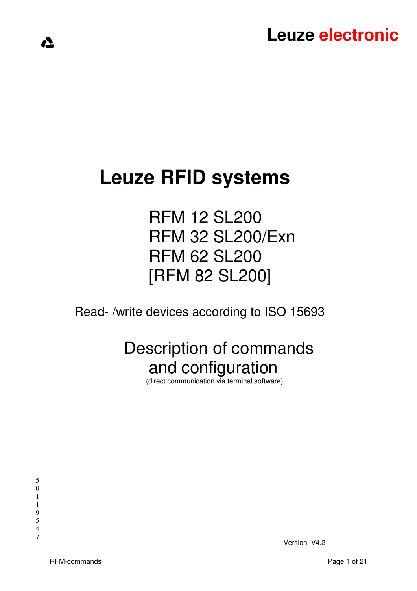# **Leuze RFID systems**

 RFM 12 SL200 RFM 32 SL200/Exn RFM 62 SL200 [RFM 82 SL200]

Read- /write devices according to ISO 15693

# Description of commands and configuration

(direct communication via terminal software)

<u>/1</u>

4

7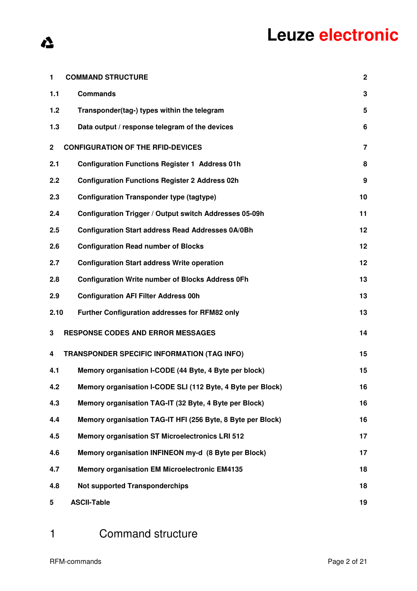| 1            | <b>COMMAND STRUCTURE</b>                                    | $\boldsymbol{2}$ |
|--------------|-------------------------------------------------------------|------------------|
| 1.1          | <b>Commands</b>                                             | 3                |
| 1.2          | Transponder(tag-) types within the telegram                 | 5                |
| 1.3          | Data output / response telegram of the devices              | 6                |
| $\mathbf{2}$ | <b>CONFIGURATION OF THE RFID-DEVICES</b>                    | $\overline{7}$   |
| 2.1          | <b>Configuration Functions Register 1 Address 01h</b>       | 8                |
| 2.2          | <b>Configuration Functions Register 2 Address 02h</b>       | 9                |
| 2.3          | <b>Configuration Transponder type (tagtype)</b>             | 10               |
| 2.4          | Configuration Trigger / Output switch Addresses 05-09h      | 11               |
| 2.5          | <b>Configuration Start address Read Addresses 0A/0Bh</b>    | 12               |
| 2.6          | <b>Configuration Read number of Blocks</b>                  | 12               |
| 2.7          | <b>Configuration Start address Write operation</b>          | 12               |
| 2.8          | <b>Configuration Write number of Blocks Address 0Fh</b>     | 13               |
| 2.9          | <b>Configuration AFI Filter Address 00h</b>                 | 13               |
| 2.10         | Further Configuration addresses for RFM82 only              | 13               |
| 3            | <b>RESPONSE CODES AND ERROR MESSAGES</b>                    | 14               |
| 4            | <b>TRANSPONDER SPECIFIC INFORMATION (TAG INFO)</b>          | 15               |
| 4.1          | Memory organisation I-CODE (44 Byte, 4 Byte per block)      | 15               |
| 4.2          | Memory organisation I-CODE SLI (112 Byte, 4 Byte per Block) | 16               |
| 4.3          | Memory organisation TAG-IT (32 Byte, 4 Byte per Block)      | 16               |
| 4.4          | Memory organisation TAG-IT HFI (256 Byte, 8 Byte per Block) | 16               |
| 4.5          | <b>Memory organisation ST Microelectronics LRI 512</b>      | 17               |
| 4.6          | Memory organisation INFINEON my-d (8 Byte per Block)        | 17               |
| 4.7          | <b>Memory organisation EM Microelectronic EM4135</b>        | 18               |
| 4.8          | <b>Not supported Transponderchips</b>                       | 18               |
| 5            | <b>ASCII-Table</b>                                          | 19               |

1 Command structure

 $\Lambda$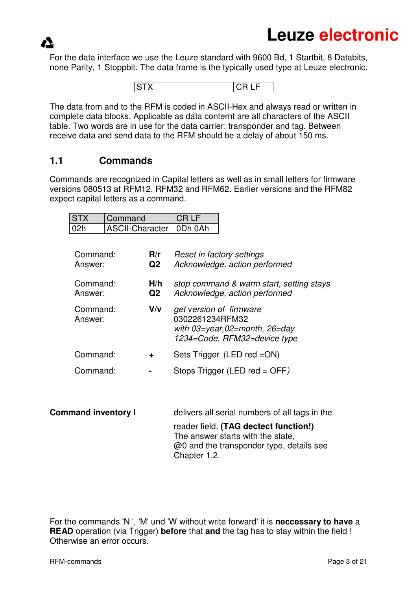For the data interface we use the Leuze standard with 9600 Bd, 1 Startbit, 8 Databits, none Parity, 1 Stoppbit. The data frame is the typically used type at Leuze electronic.



The data from and to the RFM is coded in ASCII-Hex and always read or written in complete data blocks. Applicable as data conternt are all characters of the ASCII table. Two words are in use for the data carrier: transponder and tag. Between receive data and send data to the RFM should be a delay of about 150 ms.

### **1.1 Commands**

Commands are recognized in Capital letters as well as in small letters for firmware versions 080513 at RFM12, RFM32 and RFM62. Earlier versions and the RFM82 expect capital letters as a command.

| <b>ISTX</b> | Command                   | CRIF |
|-------------|---------------------------|------|
| l 02h       | ASCII-Character   0Dh 0Ah |      |

| Command:<br>Answer: | R/r<br>Q <sub>2</sub> | <b>Reset in factory settings</b><br>Acknowledge, action performed                                                    |
|---------------------|-----------------------|----------------------------------------------------------------------------------------------------------------------|
| Command:<br>Answer: | H/h<br>Q <sub>2</sub> | stop command & warm start, setting stays<br>Acknowledge, action performed                                            |
| Command:<br>Answer: | V/v                   | get version of firmware<br>0302261234RFM32<br>with $03 = year, 02 = month, 26 = day$<br>1234=Code, RFM32=device type |
| Command:            | ÷                     | Sets Trigger (LED red = ON)                                                                                          |
| Command:            |                       | Stops Trigger (LED red = OFF)                                                                                        |
|                     |                       |                                                                                                                      |

| <b>Command inventory I</b> | delivers all serial numbers of all tags in the                                                                                         |
|----------------------------|----------------------------------------------------------------------------------------------------------------------------------------|
|                            | reader field. (TAG dectect function!)<br>The answer starts with the state,<br>@0 and the transponder type, details see<br>Chapter 1.2. |

For the commands 'N ', 'M' und 'W without write forward' it is **neccessary to have** a **READ** operation (via Trigger) **before** that **and** the tag has to stay within the field ! Otherwise an error occurs.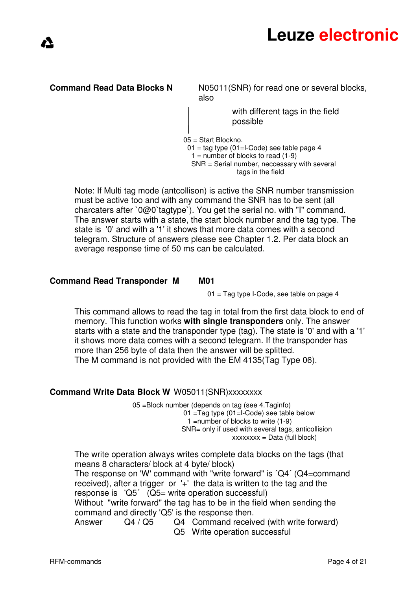

**Command Read Data Blocks N** N05011(SNR) for read one or several blocks, also

> with different tags in the field possible

05 = Start Blockno.

 $01 = \text{tag type } (01 = \text{I-Code})$  see table page 4  $1 =$  number of blocks to read  $(1-9)$ 

 SNR = Serial number, neccessary with several tags in the field

Note: If Multi tag mode (antcollison) is active the SNR number transmission must be active too and with any command the SNR has to be sent (all charcaters after `0@0`tagtype`). You get the serial no. with "I" command. The answer starts with a state, the start block number and the tag type. The state is '0' and with a '1' it shows that more data comes with a second telegram. Structure of answers please see Chapter 1.2. Per data block an average response time of 50 ms can be calculated.

#### **Command Read Transponder M M01**

01 = Tag type I-Code, see table on page 4

This command allows to read the tag in total from the first data block to end of memory. This function works **with single transponders** only. The answer starts with a state and the transponder type (tag). The state is '0' and with a '1' it shows more data comes with a second telegram. If the transponder has more than 256 byte of data then the answer will be splitted. The M command is not provided with the EM 4135(Tag Type 06).

#### **Command Write Data Block W** W05011(SNR)xxxxxxx

 05 =Block number (depends on tag (see 4.Taginfo) 01 =Tag type (01=I-Code) see table below 1 =number of blocks to write (1-9) SNR= only if used with several tags, anticollision  $xxxxxx = Data (full block)$ 

The write operation always writes complete data blocks on the tags (that means 8 characters/ block at 4 byte/ block) The response on 'W' command with "write forward" is ´Q4´ (Q4=command received), after a trigger or '+' the data is written to the tag and the response is 'Q5´ (Q5= write operation successful) Without "write forward" the tag has to be in the field when sending the command and directly 'Q5' is the response then. Answer Q4 / Q5 Q4 Command received (with write forward) Q5 Write operation successful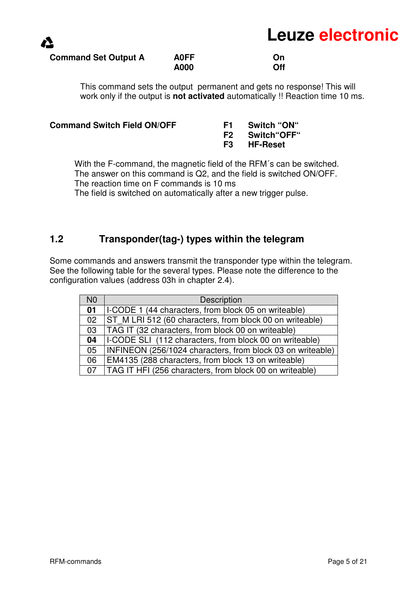#### **Command Set Output A A0FF On On A000** *A000* **Off**

This command sets the output permanent and gets no response! This will work only if the output is **not activated** automatically !! Reaction time 10 ms.

| <b>Command Switch Field ON/OFF</b> | <b>F1</b> Switch "ON"  |
|------------------------------------|------------------------|
|                                    | <b>F2</b> Switch OFF " |
|                                    | F3 HF-Reset            |
|                                    |                        |

With the F-command, the magnetic field of the RFM's can be switched. The answer on this command is Q2, and the field is switched ON/OFF. The reaction time on F commands is 10 ms

The field is switched on automatically after a new trigger pulse.

## **1.2 Transponder(tag-) types within the telegram**

Some commands and answers transmit the transponder type within the telegram. See the following table for the several types. Please note the difference to the configuration values (address 03h in chapter 2.4).

| N <sub>0</sub> | <b>Description</b>                                         |
|----------------|------------------------------------------------------------|
| 01             | I-CODE 1 (44 characters, from block 05 on writeable)       |
| 02             | ST M LRI 512 (60 characters, from block 00 on writeable)   |
| 03             | TAG IT (32 characters, from block 00 on writeable)         |
| 04             | I-CODE SLI (112 characters, from block 00 on writeable)    |
| 05             | INFINEON (256/1024 characters, from block 03 on writeable) |
| 06             | EM4135 (288 characters, from block 13 on writeable)        |
| 07             | TAG IT HFI (256 characters, from block 00 on writeable)    |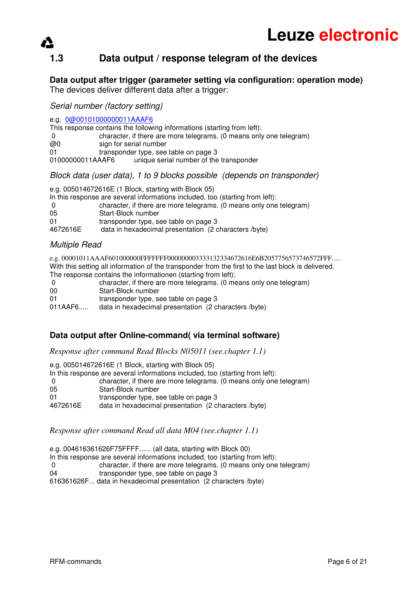# **1.3 Data output / response telegram of the devices**

**Data output after trigger (parameter setting via configuration: operation mode)**  The devices deliver different data after a trigger:

Serial number (factory setting)

e.g. 0@00101000000011AAAF6

|                  | This response contains the following informations (starting from left): |
|------------------|-------------------------------------------------------------------------|
| -0               | character, if there are more telegrams. (0 means only one telegram)     |
| @0               | sign for serial number                                                  |
| 01               | transponder type, see table on page 3                                   |
| 01000000011AAAF6 | unique serial number of the transponder                                 |

Block data (user data), 1 to 9 blocks possible (depends on transponder)

e.g. 005014672616E (1 Block, starting with Block 05) In this response are several informations included, too (starting from left): 0 character, if there are more telegrams. (0 means only one telegram) 05 Start-Block number 01 transponder type, see table on page 3 4672616E data in hexadecimal presentation (2 characters /byte)

#### Multiple Read

e.g. 00001011AAAF601000000FFFFFFF000000003333132334672616E6B2057756573746572FFF..... With this setting all information of the transponder from the first to the last block is delivered. The response contains the informationen (starting from left):

| - 0     | character, if there are more telegrams. (0 means only one telegram) |
|---------|---------------------------------------------------------------------|
| -00     | Start-Block number                                                  |
| -01     | transponder type, see table on page 3                               |
| 011AAF6 | data in hexadecimal presentation (2 characters /byte)               |

#### **Data output after Online-command( via terminal software)**

*Response after command Read Blocks N05011 (see.chapter 1.1)* 

e.g. 005014672616E (1 Block, starting with Block 05) In this response are several informations included, too (starting from left): 0 character, if there are more telegrams. (0 means only one telegram)<br>05 Start-Block number Start-Block number 01 transponder type, see table on page 3<br>4672616E data in hexadecimal presentation (2 c data in hexadecimal presentation (2 characters /byte)

*Response after command Read all data M04 (see.chapter 1.1)* 

e.g. 004616361626F75FFFF...... (all data, starting with Block 00)

In this response are several informations included, too (starting from left):

0 character, if there are more telegrams. (0 means only one telegram)

04 transponder type, see table on page 3

616361626F... data in hexadecimal presentation (2 characters /byte)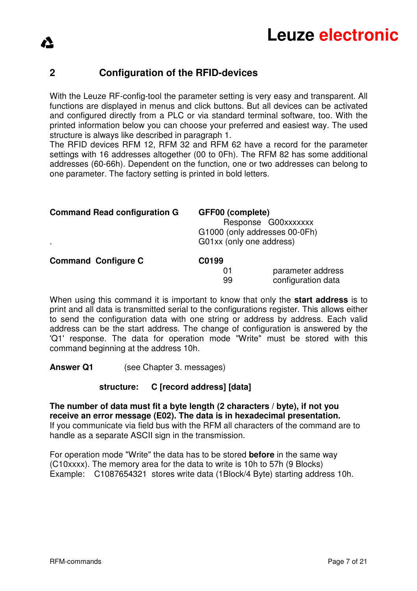## **2 Configuration of the RFID-devices**

With the Leuze RF-config-tool the parameter setting is very easy and transparent. All functions are displayed in menus and click buttons. But all devices can be activated and configured directly from a PLC or via standard terminal software, too. With the printed information below you can choose your preferred and easiest way. The used structure is always like described in paragraph 1.

The RFID devices RFM 12, RFM 32 and RFM 62 have a record for the parameter settings with 16 addresses altogether (00 to 0Fh). The RFM 82 has some additional addresses (60-66h). Dependent on the function, one or two addresses can belong to one parameter. The factory setting is printed in bold letters.

| <b>Command Read configuration G</b> | GFF00 (complete)<br>Response G00xxxxxxx<br>G1000 (only addresses 00-0Fh)<br>G01xx (only one address) |  |
|-------------------------------------|------------------------------------------------------------------------------------------------------|--|
| <b>Command Configure C</b>          | C0199<br>parameter address<br>01                                                                     |  |
|                                     | configuration data<br>99                                                                             |  |

When using this command it is important to know that only the **start address** is to print and all data is transmitted serial to the configurations register. This allows either to send the configuration data with one string or address by address. Each valid address can be the start address. The change of configuration is answered by the 'Q1' response. The data for operation mode "Write" must be stored with this command beginning at the address 10h.

**Answer Q1** (see Chapter 3. messages)

#### **structure: C [record address] [data]**

**The number of data must fit a byte length (2 characters / byte), if not you receive an error message (E02). The data is in hexadecimal presentation.**  If you communicate via field bus with the RFM all characters of the command are to handle as a separate ASCII sign in the transmission.

For operation mode "Write" the data has to be stored **before** in the same way (C10xxxx). The memory area for the data to write is 10h to 57h (9 Blocks) Example: C1087654321 stores write data (1Block/4 Byte) starting address 10h.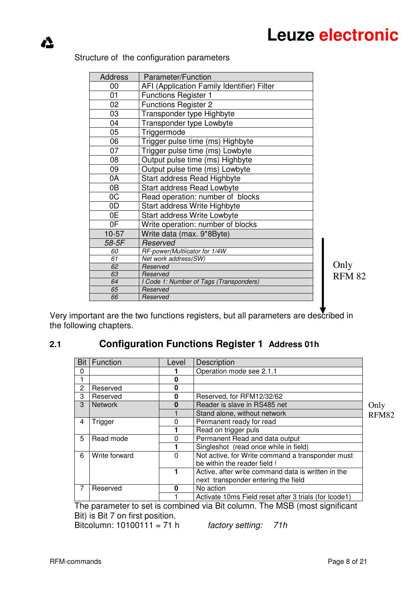| <b>Address</b> |                                                                |               |  |  |
|----------------|----------------------------------------------------------------|---------------|--|--|
| 00             |                                                                |               |  |  |
| 01             | <b>Functions Register 1</b>                                    |               |  |  |
| 02             | <b>Functions Register 2</b>                                    |               |  |  |
| 03             | Transponder type Highbyte                                      |               |  |  |
| 04             | Transponder type Lowbyte                                       |               |  |  |
| 05             | Triggermode                                                    |               |  |  |
| 06             | Trigger pulse time (ms) Highbyte                               |               |  |  |
| 07             | Trigger pulse time (ms) Lowbyte                                |               |  |  |
| 08             | Output pulse time (ms) Highbyte                                |               |  |  |
| 09             | Output pulse time (ms) Lowbyte                                 |               |  |  |
| 0A             | <b>Start address Read Highbyte</b>                             |               |  |  |
| 0B             |                                                                |               |  |  |
| OC             |                                                                |               |  |  |
| 0D             |                                                                |               |  |  |
| 0E             |                                                                |               |  |  |
| 0F             |                                                                |               |  |  |
| $10-57$        | Write operation: number of blocks<br>Write data (max. 9*8Byte) |               |  |  |
| 58-5F          | Reserved                                                       |               |  |  |
| 60             | RF-power(Multiicator for 1/4W                                  |               |  |  |
| 61             | Net work address(SW)                                           |               |  |  |
| 62             | Reserved                                                       | Only          |  |  |
| 63             | Reserved                                                       | <b>RFM 82</b> |  |  |
| 64             | I Code 1: Number of Tags (Transponders)                        |               |  |  |
| 65             | Reserved                                                       |               |  |  |
| 66             | Reserved                                                       |               |  |  |

#### Structure of the configuration parameters

 $\Lambda$ 

Very important are the two functions registers, but all parameters are described in the following chapters.

## **2.1 Configuration Functions Register 1 Address 01h**

| Bit            | <b>Function</b> | Level | Description                                           |       |
|----------------|-----------------|-------|-------------------------------------------------------|-------|
| $\Omega$       |                 |       | Operation mode see 2.1.1                              |       |
|                |                 |       |                                                       |       |
| $\overline{2}$ | Reserved        | Ω     |                                                       |       |
| 3              | Reserved        | 0     | Reserved, for RFM12/32/62                             |       |
| 3              | <b>Network</b>  | O     | Reader is slave in RS485 net                          | Only  |
|                |                 |       | Stand alone, without network                          | RFM82 |
| 4              | Trigger         | O     | Permanent ready for read                              |       |
|                |                 |       | Read on trigger puls                                  |       |
| 5              | Read mode       |       | Permanent Read and data output                        |       |
|                |                 |       | Singleshot (read once while in field)                 |       |
| 6              | Write forward   | 0     | Not active, for Write command a transponder must      |       |
|                |                 |       | be within the reader field !                          |       |
|                |                 |       | Active, after write command data is written in the    |       |
|                |                 |       | next transponder entering the field                   |       |
| 7              | Reserved        | n     | No action                                             |       |
|                |                 |       | Activate 10ms Field reset after 3 trials (for lcode1) |       |

The parameter to set is combined via Bit column. The MSB (most significant Bit) is Bit 7 on first position.

Bitcolumn:  $10100111 = 71 h$  factory setting: 71h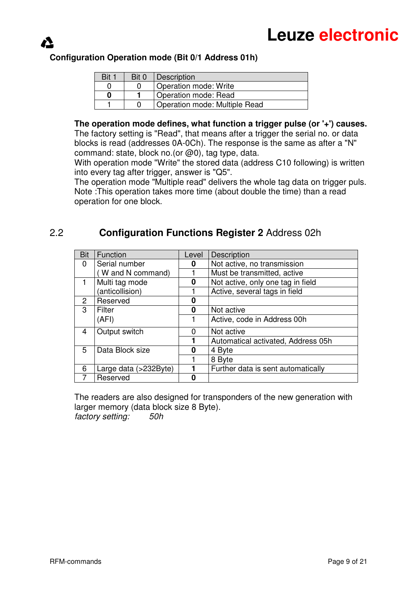

### **Configuration Operation mode (Bit 0/1 Address 01h)**

| Bit 1 | Bit 0 | Description                   |
|-------|-------|-------------------------------|
|       |       | Operation mode: Write         |
|       |       | Operation mode: Read          |
|       |       | Operation mode: Multiple Read |

**The operation mode defines, what function a trigger pulse (or '+') causes.** The factory setting is "Read", that means after a trigger the serial no. or data

blocks is read (addresses 0A-0Ch). The response is the same as after a "N" command: state, block no.(or @0), tag type, data.

With operation mode "Write" the stored data (address C10 following) is written into every tag after trigger, answer is "Q5".

The operation mode "Multiple read" delivers the whole tag data on trigger puls. Note :This operation takes more time (about double the time) than a read operation for one block.

# 2.2 **Configuration Functions Register 2** Address 02h

| Bit           | Function              | Level | Description                        |
|---------------|-----------------------|-------|------------------------------------|
| 0             | Serial number         | O     | Not active, no transmission        |
|               | (W and N command)     |       | Must be transmitted, active        |
|               | Multi tag mode        | 0     | Not active, only one tag in field  |
|               | (anticollision)       |       | Active, several tags in field      |
| $\mathcal{P}$ | Reserved              | n     |                                    |
| 3             | Filter                | 0     | Not active                         |
|               | (AFI)                 |       | Active, code in Address 00h        |
| 4             | Output switch         | 0     | Not active                         |
|               |                       |       | Automatical activated, Address 05h |
| 5             | Data Block size       | Π     | 4 Byte                             |
|               |                       |       | 8 Byte                             |
| 6             | Large data (>232Byte) |       | Further data is sent automatically |
|               | Reserved              |       |                                    |

The readers are also designed for transponders of the new generation with larger memory (data block size 8 Byte). factory setting: 50h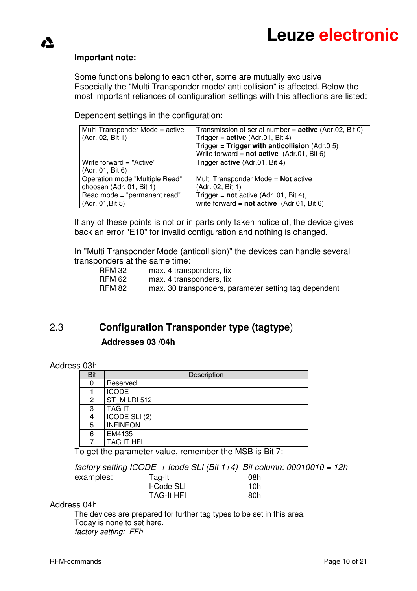#### **Important note:**

 $\blacktriangle$ 

Some functions belong to each other, some are mutually exclusive! Especially the "Multi Transponder mode/ anti collision" is affected. Below the most important reliances of configuration settings with this affections are listed:

Dependent settings in the configuration:

| Multi Transponder Mode = active | Transmission of serial number = $active$ (Adr.02, Bit 0) |
|---------------------------------|----------------------------------------------------------|
| (Adr. 02, Bit 1)                | Trigger = $active (Adr.01, Bit 4)$                       |
|                                 | Trigger = Trigger with anticollision $(Adr.05)$          |
|                                 | Write forward = $not active$ (Adr.01, Bit 6)             |
| Write forward = "Active"        | Trigger active (Adr.01, Bit 4)                           |
| (Adr. 01, Bit 6)                |                                                          |
| Operation mode "Multiple Read"  | Multi Transponder Mode = Not active                      |
| choosen (Adr. 01, Bit 1)        | (Adr. 02, Bit 1)                                         |
| Read mode = "permanent read"    | Trigger = $not$ active (Adr. 01, Bit 4),                 |
| (Adr. 01, Bit 5)                | write forward = $not active$ (Adr.01, Bit 6)             |

If any of these points is not or in parts only taken notice of, the device gives back an error "E10" for invalid configuration and nothing is changed.

In "Multi Transponder Mode (anticollision)" the devices can handle several transponders at the same time:

| RFM 32        | max. 4 transponders, fix                              |
|---------------|-------------------------------------------------------|
| <b>RFM 62</b> | max. 4 transponders, fix                              |
| <b>RFM 82</b> | max. 30 transponders, parameter setting tag dependent |

# 2.3 **Configuration Transponder type (tagtype**)  **Addresses 03 /04h**

#### Address 03h

| , , , ,    |                   |
|------------|-------------------|
| <b>Bit</b> | Description       |
| 0          | Reserved          |
|            | <b>ICODE</b>      |
| 2          | ST M LRI 512      |
| 3          | <b>TAG IT</b>     |
| 4          | ICODE SLI(2)      |
| 5          | <b>INFINEON</b>   |
| 6          | EM4135            |
|            | <b>TAG IT HFI</b> |

To get the parameter value, remember the MSB is Bit 7:

factory setting ICODE + Icode SLI (Bit 1+4) Bit column:  $00010010 = 12h$ <br>examplos:  $\frac{1}{2}$ examples: Tag-It

| GAQUIDIGS. | ι αυτιι           | ווטע |
|------------|-------------------|------|
|            | I-Code SLI        | 10h. |
|            | <b>TAG-It HFI</b> | 80h  |

#### Address 04h

The devices are prepared for further tag types to be set in this area. Today is none to set here. factory setting: FFh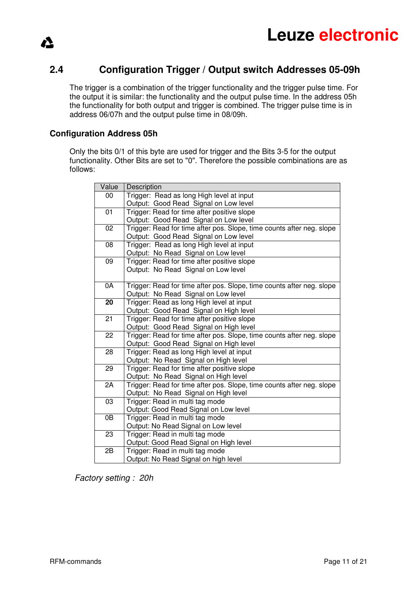

### **2.4 Configuration Trigger / Output switch Addresses 05-09h**

The trigger is a combination of the trigger functionality and the trigger pulse time. For the output it is similar: the functionality and the output pulse time. In the address 05h the functionality for both output and trigger is combined. The trigger pulse time is in address 06/07h and the output pulse time in 08/09h.

#### **Configuration Address 05h**

⚠

Only the bits 0/1 of this byte are used for trigger and the Bits 3-5 for the output functionality. Other Bits are set to "0". Therefore the possible combinations are as follows:

| Value | Description                                                           |
|-------|-----------------------------------------------------------------------|
| 00    | Trigger: Read as long High level at input                             |
|       | Output: Good Read Signal on Low level                                 |
| 01    | Trigger: Read for time after positive slope                           |
|       | Output: Good Read Signal on Low level                                 |
| 02    | Trigger: Read for time after pos. Slope, time counts after neg. slope |
|       | Output: Good Read Signal on Low level                                 |
| 08    | Trigger: Read as long High level at input                             |
|       | Output: No Read Signal on Low level                                   |
| 09    | Trigger: Read for time after positive slope                           |
|       | Output: No Read Signal on Low level                                   |
|       |                                                                       |
| 0A    | Trigger: Read for time after pos. Slope, time counts after neg. slope |
|       | Output: No Read Signal on Low level                                   |
| 20    | Trigger: Read as long High level at input                             |
|       | Output: Good Read Signal on High level                                |
| 21    | Trigger: Read for time after positive slope                           |
|       | Output: Good Read Signal on High level                                |
| 22    | Trigger: Read for time after pos. Slope, time counts after neg. slope |
|       | Output: Good Read Signal on High level                                |
| 28    | Trigger: Read as long High level at input                             |
|       | Output: No Read Signal on High level                                  |
| 29    | Trigger: Read for time after positive slope                           |
|       | Output: No Read Signal on High level                                  |
| 2A    | Trigger: Read for time after pos. Slope, time counts after neg. slope |
|       | Output: No Read Signal on High level                                  |
| 03    | Trigger: Read in multi tag mode                                       |
|       | Output: Good Read Signal on Low level                                 |
| 0B    | Trigger: Read in multi tag mode                                       |
|       | Output: No Read Signal on Low level                                   |
| 23    | Trigger: Read in multi tag mode                                       |
|       | Output: Good Read Signal on High level                                |
| 2B    | Trigger: Read in multi tag mode                                       |
|       | Output: No Read Signal on high level                                  |

Factory setting : 20h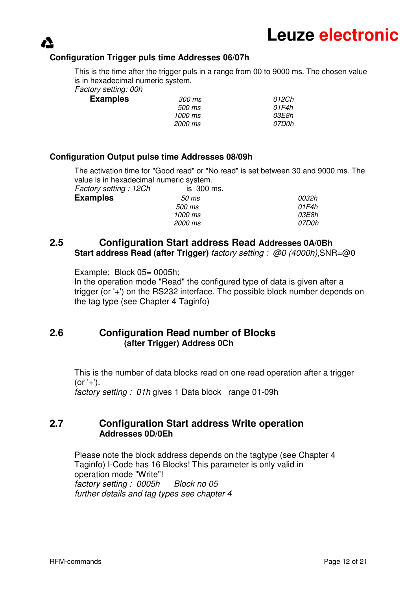#### **Configuration Trigger puls time Addresses 06/07h**

This is the time after the trigger puls in a range from 00 to 9000 ms. The chosen value is in hexadecimal numeric system.

Factory setting: 00h

| <b>Examples</b> | <i>300 ms</i> | 012Ch |
|-----------------|---------------|-------|
|                 | <i>500 ms</i> | 01F4h |
|                 | 1000 ms       | 03E8h |
|                 | 2000 ms       | 07D0h |

#### **Configuration Output pulse time Addresses 08/09h**

The activation time for "Good read" or "No read" is set between 30 and 9000 ms. The value is in hexadecimal numeric system.

Factory setting : 12Ch is 300 ms. **Examples**  $\frac{50 \text{ ms}}{20}$  500 ms 01F4h 1000 ms 03E8h 2000 ms 07D0h

### **2.5 Configuration Start address Read Addresses 0A/0Bh Start address Read (after Trigger)** factory setting : @0 (4000h),SNR=@0

Example: Block 05= 0005h;

In the operation mode "Read" the configured type of data is given after a trigger (or '+') on the RS232 interface. The possible block number depends on the tag type (see Chapter 4 Taginfo)

### **2.6 Configuration Read number of Blocks (after Trigger) Address 0Ch**

This is the number of data blocks read on one read operation after a trigger  $(or '+').$ 

factory setting : 01h gives 1 Data block range 01-09h

#### **2.7 Configuration Start address Write operation Addresses 0D/0Eh**

 Please note the block address depends on the tagtype (see Chapter 4 Taginfo) I-Code has 16 Blocks! This parameter is only valid in operation mode "Write"! factory setting : 0005h Block no 05 further details and tag types see chapter 4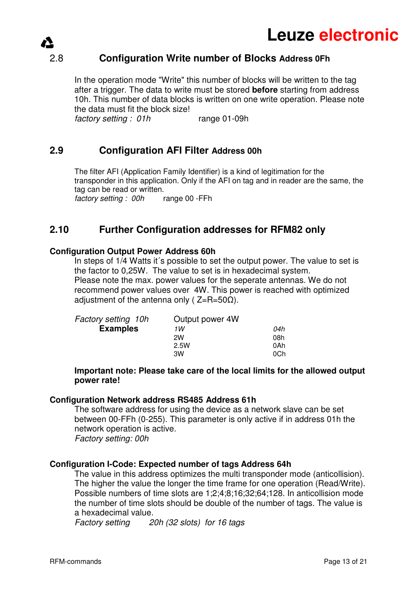

### 2.8 **Configuration Write number of Blocks Address 0Fh**

In the operation mode "Write" this number of blocks will be written to the tag after a trigger. The data to write must be stored **before** starting from address 10h. This number of data blocks is written on one write operation. Please note the data must fit the block size!

factory setting : 01h range 01-09h

### **2.9 Configuration AFI Filter Address 00h**

The filter AFI (Application Family Identifier) is a kind of legitimation for the transponder in this application. Only if the AFI on tag and in reader are the same, the tag can be read or written. factory setting : 00h range 00 -FFh

#### **2.10 Further Configuration addresses for RFM82 only**

#### **Configuration Output Power Address 60h**

In steps of 1/4 Watts it's possible to set the output power. The value to set is the factor to 0,25W. The value to set is in hexadecimal system. Please note the max. power values for the seperate antennas. We do not recommend power values over 4W. This power is reached with optimized adjustment of the antenna only ( $Z=R=50\Omega$ ).

| 1 W  | 04h             |
|------|-----------------|
| 2W   | 08h             |
| 2.5W | 0Ah             |
| 3W   | 0Ch             |
|      | Output power 4W |

#### **Important note: Please take care of the local limits for the allowed output power rate!**

#### **Configuration Network address RS485 Address 61h**

The software address for using the device as a network slave can be set between 00-FFh (0-255). This parameter is only active if in address 01h the network operation is active. Factory setting: 00h

#### **Configuration I-Code: Expected number of tags Address 64h**

 The value in this address optimizes the multi transponder mode (anticollision). The higher the value the longer the time frame for one operation (Read/Write). Possible numbers of time slots are 1;2;4;8;16;32;64;128. In anticollision mode the number of time slots should be double of the number of tags. The value is a hexadecimal value.

Factory setting 20h (32 slots) for 16 tags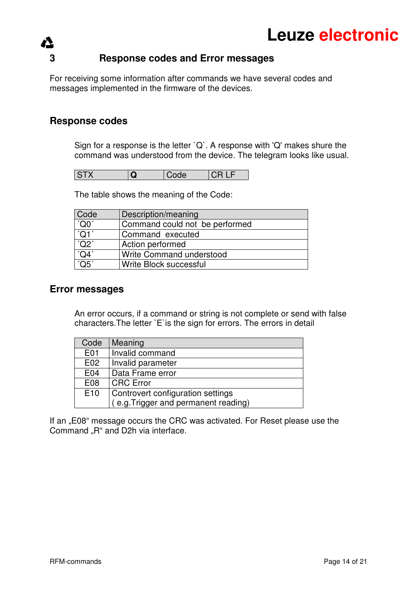# **3 Response codes and Error messages**

For receiving some information after commands we have several codes and messages implemented in the firmware of the devices.

### **Response codes**

Sign for a response is the letter `Q`. A response with 'Q' makes shure the command was understood from the device. The telegram looks like usual.

| ↗ | ISTX |  | Code |  |
|---|------|--|------|--|
|---|------|--|------|--|

The table shows the meaning of the Code:

| Code           | Description/meaning            |
|----------------|--------------------------------|
| $\overline{C}$ | Command could not be performed |
| 'Q1'           | Command executed               |
| 'Q2'           | Action performed               |
| 'QA'           | Write Command understood       |
| 'Q5'           | Write Block successful         |

#### **Error messages**

An error occurs, if a command or string is not complete or send with false characters.The letter `E`is the sign for errors. The errors in detail

| Code            | Meaning                              |  |
|-----------------|--------------------------------------|--|
| E01             | Invalid command                      |  |
| E02             | Invalid parameter                    |  |
| E04             | Data Frame error                     |  |
| E08             | <b>CRC</b> Error                     |  |
| E <sub>10</sub> | Controvert configuration settings    |  |
|                 | (e.g. Trigger and permanent reading) |  |

If an "E08" message occurs the CRC was activated. For Reset please use the Command "R" and D2h via interface.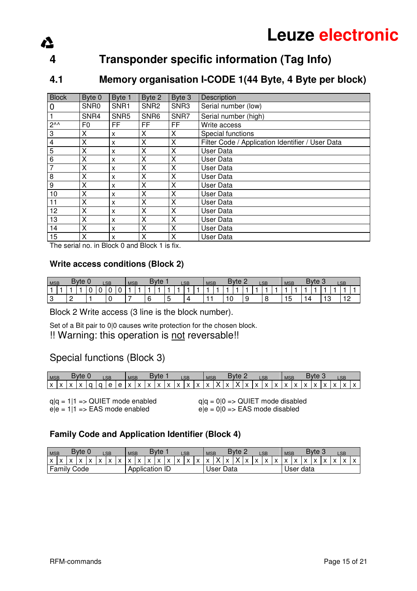# **4 Transponder specific information (Tag Info)**

## **4.1 Memory organisation I-CODE 1(44 Byte, 4 Byte per block)**

| <b>Block</b>    | Byte 0           | Byte 1                    | Byte 2           | Byte 3 | Description                                      |
|-----------------|------------------|---------------------------|------------------|--------|--------------------------------------------------|
| $\overline{0}$  | SNR <sub>0</sub> | SNR1                      | SNR <sub>2</sub> | SNR3   | Serial number (low)                              |
| $\overline{1}$  | SNR4             | SNR <sub>5</sub>          | SNR <sub>6</sub> | SNR7   | Serial number (high)                             |
| $2^{\lambda}$   | F0               | FF                        | FF               | FF     | Write access                                     |
| $\mathbf{3}$    | х                | X                         | х                | X      | Special functions                                |
| $\overline{4}$  | X                | $\boldsymbol{\mathsf{x}}$ | X                | X      | Filter Code / Application Identifier / User Data |
| $\overline{5}$  | X                | X                         | Χ                | х      | User Data                                        |
| $6\overline{6}$ | X                | X                         | X                | X      | User Data                                        |
| $\overline{7}$  | X                | X                         | X                | X      | <b>User Data</b>                                 |
| $\infty$        | X                | $\boldsymbol{\mathsf{x}}$ | X                | X      | User Data                                        |
| $\overline{9}$  | X                | X                         | X                | X      | User Data                                        |
| 10              | X                | X                         | х                | x      | User Data                                        |
| 11              | X                | $\boldsymbol{\mathsf{x}}$ | Χ                | X      | User Data                                        |
| 12              | X                | X                         | Χ                | Χ      | User Data                                        |
| 13              | X                | X                         | X                | X      | User Data                                        |
| 14              | X                | $\boldsymbol{\mathsf{x}}$ | X                | X      | User Data                                        |
| 15              | X                | $\boldsymbol{\mathsf{x}}$ | X                | X      | User Data                                        |

The serial no. in Block 0 and Block 1 is fix.

Δ

#### **Write access conditions (Block 2)**

| <b>MSB</b> |  | <b>B</b> vte |   | <b>LSB</b> |   | <b>MSB</b> |  | <b>Byte</b> |  | <b>LSB</b> | <b>MSB</b> |  | <b>Byte</b> |  | <b>LSB</b> | <b>MSB</b> |          | <b>Byte</b> |   | LSB |  |
|------------|--|--------------|---|------------|---|------------|--|-------------|--|------------|------------|--|-------------|--|------------|------------|----------|-------------|---|-----|--|
|            |  |              | υ | U          | ັ |            |  |             |  |            |            |  |             |  |            |            |          |             |   |     |  |
|            |  |              |   |            |   |            |  |             |  |            |            |  |             |  | ∼          | ت ا        | $\Delta$ |             | ໋ |     |  |

Block 2 Write access (3 line is the block number).

Set of a Bit pair to 0|0 causes write protection for the chosen block.

!! Warning: this operation is not reversable!!

### Special functions (Block 3)

| Byte:<br><b>MSB</b><br>LSB |              |                   |                           |             | Bvte<br><b>MSB</b><br><b>LSB</b> |   |   |                              |   |   | Bvte<br><b>MSB</b><br><b>LSB</b> |   |   |                   |   |   |   | <b>Byte</b><br><b>MSB</b><br>LSB |   |              |          |              |                   |          |              |              |              |   |           |  |  |
|----------------------------|--------------|-------------------|---------------------------|-------------|----------------------------------|---|---|------------------------------|---|---|----------------------------------|---|---|-------------------|---|---|---|----------------------------------|---|--------------|----------|--------------|-------------------|----------|--------------|--------------|--------------|---|-----------|--|--|
| IX.                        | $\checkmark$ | $\mathbf{v}$<br>◠ | $\checkmark$<br>$\lambda$ | $\sim$<br>◡ | O                                | e | e | $\overline{\mathbf{v}}$<br>↗ | X | X | $\checkmark$<br>⌒                | x | v | $\checkmark$<br>◠ | X | v | x | Y                                | x | $\checkmark$ | <b>V</b> | $\checkmark$ | $\checkmark$<br>◠ | <b>V</b> | $\checkmark$ | $\mathbf{v}$ | $\checkmark$ | x | $\lambda$ |  |  |

 $q|q = 1|1 \Rightarrow \text{QUIET mode enabled}$   $q|q = 0|0 \Rightarrow \text{QUIET mode disabled}$  $e|e = 1|1 \Rightarrow EAS$  mode enabled  $e|e = 0|0 \Rightarrow EAS$  mode disabled

#### **Family Code and Application Identifier (Block 4)**

| <b>MSB</b>   |              |                    | Byte 0    |                |           | LSB            |           | <b>MSB</b>              |                       |                           | Bvte           |     |              | LSB          |     | <b>MSB</b>   |           |              | Byte 2       |                 |                   | LSB          |           | <b>MSB</b>   |           |                | <b>Byte 3</b>     |           |                         | LSB          |  |
|--------------|--------------|--------------------|-----------|----------------|-----------|----------------|-----------|-------------------------|-----------------------|---------------------------|----------------|-----|--------------|--------------|-----|--------------|-----------|--------------|--------------|-----------------|-------------------|--------------|-----------|--------------|-----------|----------------|-------------------|-----------|-------------------------|--------------|--|
| $\mathbf{v}$ | $\mathbf{v}$ |                    | $\lambda$ | $\sqrt{}$<br>ᄉ | $\lambda$ | $\overline{ }$ | $\lambda$ | $\overline{\mathbf{v}}$ | $\overline{ }$        | $\boldsymbol{\mathsf{x}}$ | $\overline{ }$ | l v | $\mathbf{v}$ | $\mathbf{v}$ | l X | $\mathbf{v}$ | $\vee$ 1  | $\mathbf{v}$ | $\checkmark$ | $\cdot$ $\cdot$ | $\mathbf{v}$<br>ᄉ | $\mathbf{v}$ | $\lambda$ | $\mathbf{v}$ | $\lambda$ | $\overline{ }$ | $\mathbf{v}$<br>ᆺ | $\lambda$ | $\overline{\mathbf{v}}$ | $\checkmark$ |  |
|              |              | <b>Family Code</b> |           |                |           |                |           |                         | <b>Application ID</b> |                           |                |     |              |              |     |              | User Data |              |              |                 |                   |              |           |              |           | User data      |                   |           |                         |              |  |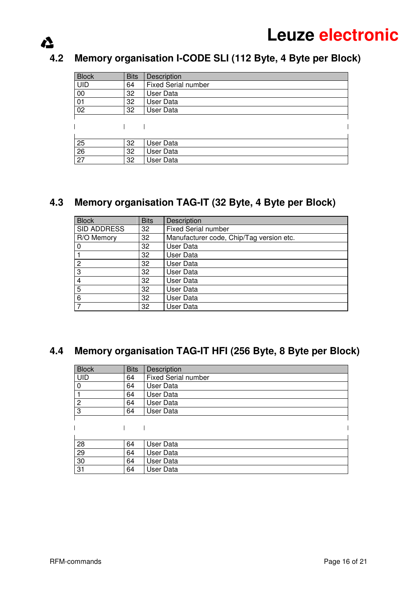# **4.2 Memory organisation I-CODE SLI (112 Byte, 4 Byte per Block)**

| <b>Block</b>    | <b>Bits</b> | Description                |
|-----------------|-------------|----------------------------|
| <b>UID</b>      | 64          | <b>Fixed Serial number</b> |
| 00              | 32          | User Data                  |
| 01              | 32          | <b>User Data</b>           |
| 02              | 32          | User Data                  |
|                 |             |                            |
|                 |             |                            |
|                 |             |                            |
| 25              | 32          | User Data                  |
| 26              | 32          | User Data                  |
| $\overline{27}$ | 32          | <b>User Data</b>           |

## **4.3 Memory organisation TAG-IT (32 Byte, 4 Byte per Block)**

| <b>Block</b> | <b>Bits</b> | Description                              |
|--------------|-------------|------------------------------------------|
| SID ADDRESS  | 32          | <b>Fixed Serial number</b>               |
| R/O Memory   | 32          | Manufacturer code, Chip/Tag version etc. |
|              | 32          | User Data                                |
|              | 32          | User Data                                |
| 2            | 32          | User Data                                |
| 3            | 32          | User Data                                |
| 4            | 32          | User Data                                |
| 5            | 32          | User Data                                |
| 6            | 32          | User Data                                |
|              | 32          | User Data                                |

# **4.4 Memory organisation TAG-IT HFI (256 Byte, 8 Byte per Block)**

| <b>Block</b>   | <b>Bits</b> | Description                |
|----------------|-------------|----------------------------|
| <b>UID</b>     | 64          | <b>Fixed Serial number</b> |
| 0              | 64          | User Data                  |
|                | 64          | User Data                  |
| $\overline{2}$ | 64          | User Data                  |
| 3              | 64          | User Data                  |
|                |             |                            |
|                |             |                            |
|                |             |                            |
| 28             | 64          | User Data                  |
| 29             | 64          | User Data                  |
| 30             | 64          | User Data                  |
| 31             | 64          | User Data                  |

 $\Delta$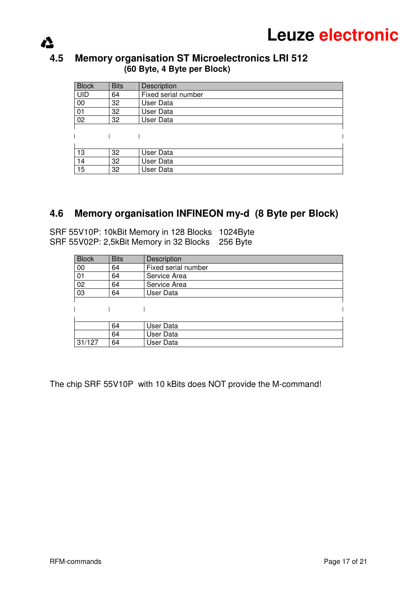### **4.5 Memory organisation ST Microelectronics LRI 512 (60 Byte, 4 Byte per Block)**

| <b>Block</b> | <b>Bits</b> | Description         |
|--------------|-------------|---------------------|
| <b>UID</b>   | 64          | Fixed serial number |
| 00           | 32          | User Data           |
| 01           | 32          | User Data           |
| 02           | 32          | User Data           |
|              |             |                     |
|              |             |                     |
|              |             |                     |
| 13           | 32          | User Data           |
| 14           | 32          | <b>User Data</b>    |
| 15           | 32          | <b>User Data</b>    |

## **4.6 Memory organisation INFINEON my-d (8 Byte per Block)**

SRF 55V10P: 10kBit Memory in 128 Blocks 1024Byte SRF 55V02P: 2,5kBit Memory in 32 Blocks 256 Byte

| <b>Block</b> | <b>Bits</b> | Description         |
|--------------|-------------|---------------------|
| 00           | 64          | Fixed serial number |
| 01           | 64          | Service Area        |
| 02           | 64          | Service Area        |
| 03           | 64          | User Data           |
|              |             |                     |
|              |             |                     |
|              |             |                     |
|              | 64          | User Data           |
|              | 64          | User Data           |
| 31/127       | 64          | User Data           |

The chip SRF 55V10P with 10 kBits does NOT provide the M-command!

 $\sum$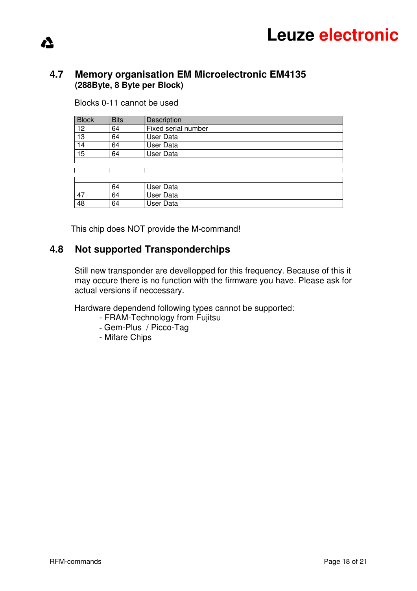### **4.7 Memory organisation EM Microelectronic EM4135 (288Byte, 8 Byte per Block)**

Blocks 0-11 cannot be used

⚠

| <b>Block</b> | <b>Bits</b> | Description         |
|--------------|-------------|---------------------|
| 12           | 64          | Fixed serial number |
| 13           | 64          | User Data           |
| 14           | 64          | User Data           |
| 15           | 64          | User Data           |
|              |             |                     |
|              |             |                     |
|              |             |                     |
|              | 64          | User Data           |
| 47           | 64          | User Data           |
| 48           | 64          | User Data           |

This chip does NOT provide the M-command!

### **4.8 Not supported Transponderchips**

Still new transponder are devellopped for this frequency. Because of this it may occure there is no function with the firmware you have. Please ask for actual versions if neccessary.

Hardware dependend following types cannot be supported:

- FRAM-Technology from Fujitsu
- Gem-Plus / Picco-Tag
- Mifare Chips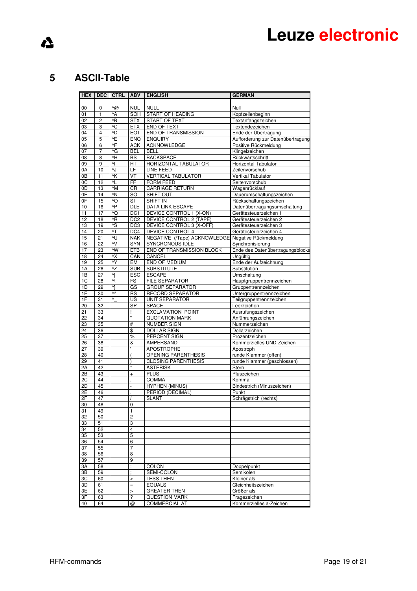# $\Lambda$

## **5 ASCII-Table**

| <b>HEX</b>      | <b>DEC</b>     | <b>CTRL</b>     | <b>ABV</b>                               | <b>ENGLISH</b>                                  | <b>GERMAN</b>                                   |
|-----------------|----------------|-----------------|------------------------------------------|-------------------------------------------------|-------------------------------------------------|
|                 |                |                 |                                          |                                                 |                                                 |
| 00              | 0              | $\triangle$     | <b>NUL</b>                               | <b>NULL</b>                                     | Null                                            |
| 01              | 1              | ^A              | SOH                                      | START OF HEADING                                | Kopfzeilenbeginn                                |
| 02              | $\overline{c}$ | ^B              | <b>STX</b>                               | <b>START OF TEXT</b>                            | Textanfangszeichen                              |
| 03              | 3              | $\overline{C}$  | <b>ETX</b>                               | <b>END OF TEXT</b>                              | Textendezeichen                                 |
| 04              | 4              | ^D              | <b>EOT</b>                               | <b>END OF TRANSMISSION</b>                      | Ende der Übertragung                            |
| 05              | 5              | ^E              | ENQ                                      | <b>ENQUIRY</b>                                  | Aufforderung zur Datenübertragung               |
| 06              | 6              | ^F              | <b>ACK</b>                               | ACKNOWLEDGE                                     | Positive Rückmeldung                            |
| 07              | 7              | ^G              | <b>BEL</b>                               | <b>BELL</b>                                     | Klingelzeichen                                  |
| 08              | 8              | ٨H              | BS                                       | <b>BACKSPACE</b>                                | Rückwärtsschritt                                |
| 09              | 9              | 시               | HT                                       | HORIZONTAL TABULATOR                            | <b>Horizontal Tabulator</b>                     |
| 0A<br>0B        | 10             | ^J<br>^K        | LF                                       | LINE FEED<br><b>VERTICAL TABULATOR</b>          | Zeilenvorschub                                  |
| 0C              | 11<br>12       | $^{\wedge}$     | VT<br>FF                                 | <b>FORM FEED</b>                                | Vertikal Tabulator<br>Seitenvorschub            |
| 0D              | 13             | ^M              | CR                                       | <b>CARRIAGE RETURN</b>                          | Wagenrücklauf                                   |
| 0E              | 14             | ^N              | <b>SO</b>                                | SHIFT OUT                                       | Dauerumschaltungszeichen                        |
| 0F              | 15             | ^O              | SI                                       | <b>SHIFT IN</b>                                 | Rückschaltungszeichen                           |
| 10              | 16             | ^P              | DLE                                      | DATA LINK ESCAPE                                | Datenübertragungsumschaltung                    |
| 11              | 17             | ^Q              | DC <sub>1</sub>                          | <b>DEVICE CONTROL 1 (X-ON)</b>                  | Gerätesteuerzeichen 1                           |
| 12              | 18             | ^R              | DC <sub>2</sub>                          | DEVICE CONTROL 2 (TAPE)                         | Gerätesteuerzeichen 2                           |
| 13              | 19             | ^S              | DC <sub>3</sub>                          | DEVICE CONTROL 3 (X-OFF)                        | Gerätesteuerzeichen 3                           |
| 14              | 20             | $^{\wedge}$ T   | DC4                                      | <b>DEVICE CONTROL 4</b>                         | Gerätesteuerzeichen 4                           |
| 15              | 21             | ^U              | <b>NAK</b>                               | NEGATIVE (/Tape) ACKNOWLEDGE                    | Negative Rückmeldung                            |
| 16              | 22             | $\overline{N}$  | <b>SYN</b>                               | <b>SYNCRONOUS IDLE</b>                          | Synchronisierung                                |
| 17              | 23             | ^W              | <b>ETB</b>                               | END OF TRANSMISSION BLOCK                       | Ende des Datenübertragungsblocks                |
| 18              | 24             | ^X              | CAN                                      | CANCEL                                          | Ungültig                                        |
| 19              | 25             | $\overline{y}$  | EM                                       | <b>END OF MEDIUM</b>                            | Ende der Aufzeichnung                           |
| 1A              | 26             | ^Z              | <b>SUB</b>                               | <b>SUBSTITUTE</b>                               | Substitution                                    |
| 1B              | 27             | ٨ŗ<br>$\Lambda$ | <b>ESC</b>                               | <b>ESCAPE</b>                                   | Umschaltung                                     |
| 1C<br>1D        | 28<br>29       | 시               | FS<br>GS                                 | <b>FILE SEPARATOR</b><br><b>GROUP SEPARATOR</b> | Hauptgruppentrennzeichen<br>Gruppentrennzeichen |
| 1E              | 30             | ۸۸              | <b>RS</b>                                | RECORD SEPARATOR                                | Untergruppentrennzeichen                        |
| 1F              | 31             | ٨               | US                                       | <b>UNIT SEPARATOR</b>                           | Teilgruppentrennzeichen                         |
| 20              | 32             |                 | <b>SP</b>                                | <b>SPACE</b>                                    | Leerzeichen                                     |
| 21              | 33             |                 | ı                                        | <b>EXCLAMATION POINT</b>                        | Ausrufungszeichen                               |
| 22              | 34             |                 | Ħ                                        | <b>QUOTATION MARK</b>                           | Anführungszeichen                               |
| 23              | 35             |                 | #                                        | <b>NUMBER SIGN</b>                              | Nummerzeichen                                   |
| 24              | 36             |                 | \$                                       | <b>DOLLAR SIGN</b>                              | Dollarzeichen                                   |
| $\overline{25}$ | 37             |                 | %                                        | PERCENT SIGN                                    | Prozentzeichen                                  |
| 26              | 38             |                 | &                                        | AMPERSAND                                       | Kommerzielles UND-Zeichen                       |
| 27              | 39             |                 | ٠                                        | <b>APOSTROPHE</b>                               | Apostroph                                       |
| 28              | 40             |                 |                                          | <b>OPENING PARENTHESIS</b>                      | runde Klammer (offen)                           |
| 29              | 41             |                 | ١                                        | <b>CLOSING PARENTHESIS</b>                      | runde Klammer (geschlossen)                     |
| 2A              | 42             |                 | $\star$                                  | <b>ASTERISK</b>                                 | Stern                                           |
| 2B              | 43<br>44       |                 | $\ddot{}$                                | <b>PLUS</b>                                     | Pluszeichen                                     |
| 2C<br>2D        | 45             |                 | ä,                                       | <b>COMMA</b><br><b>HYPHEN (MINUS)</b>           | Komma<br>Bindestrich (Minuszeichen)             |
| 2E              | 46             |                 |                                          | PERIOD (DECIMAL)                                | Punkt                                           |
| 2F              | 47             |                 |                                          | <b>SLANT</b>                                    | Schrägstrich (rechts)                           |
| 30              | 48             |                 | $\mathbf 0$                              |                                                 |                                                 |
| 31              | 49             |                 | 1                                        |                                                 |                                                 |
| 32              | 50             |                 | 2                                        |                                                 |                                                 |
| 33              | 51             |                 | 3                                        |                                                 |                                                 |
| 34              | 52             |                 | $\overline{4}$                           |                                                 |                                                 |
| 35              | 53             |                 | 5                                        |                                                 |                                                 |
| 36              | 54             |                 | 6                                        |                                                 |                                                 |
| 37              | 55             |                 | $\overline{7}$                           |                                                 |                                                 |
| 38              | 56             |                 | $\overline{8}$                           |                                                 |                                                 |
| 39              | 57             |                 | 9                                        |                                                 |                                                 |
| 3A              | 58             |                 | $\ddot{\phantom{a}}$                     | COLON                                           | Doppelpunkt                                     |
| 3B              | 59             |                 | ÷                                        | SEMI-COLON                                      | Semikolen                                       |
| 3C              | 60             |                 | $\prec$                                  | <b>LESS THEN</b>                                | Kleiner als                                     |
| 3D              | 61             |                 | $=$                                      | <b>EQUALS</b><br><b>GREATER THEN</b>            | Gleichheitszeichen                              |
| 3E<br>3F        | 62<br>63       |                 | $\mathbf{L}$<br>$\overline{\phantom{a}}$ | <b>QUESTION MARK</b>                            | Größer als                                      |
| 40              | 64             |                 | @                                        | <b>COMMERCIAL AT</b>                            | Fragezeichen<br>Kommerzielles a-Zeichen         |
|                 |                |                 |                                          |                                                 |                                                 |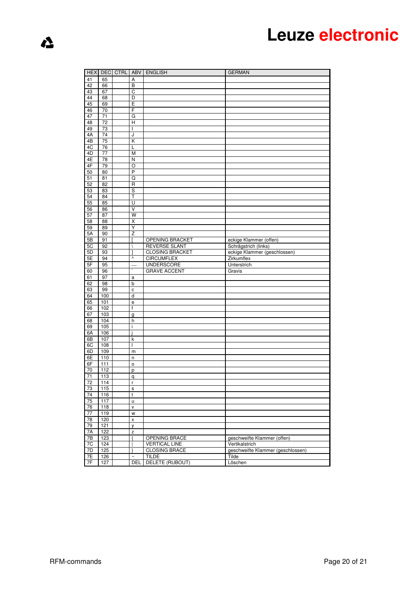| <b>HEX</b>      | <b>DEC</b>            | <b>CTRL</b> | ABV                   | <b>ENGLISH</b>                          | <b>GERMAN</b>                                        |
|-----------------|-----------------------|-------------|-----------------------|-----------------------------------------|------------------------------------------------------|
| 41              | 65                    |             | Α                     |                                         |                                                      |
| 42              | 66                    |             | $\overline{B}$        |                                         |                                                      |
| 43              | 67                    |             | С                     |                                         |                                                      |
| 44              | 68                    |             | D                     |                                         |                                                      |
| 45              | 69                    |             | Ε                     |                                         |                                                      |
| 46              | 70                    |             | F                     |                                         |                                                      |
| 47              | 71                    |             | G                     |                                         |                                                      |
| 48              | $\overline{72}$       |             | $\overline{H}$        |                                         |                                                      |
| 49              | 73                    |             | T                     |                                         |                                                      |
| 4A              | 74                    |             | J                     |                                         |                                                      |
| 4B<br>4C        | 75                    |             | Κ                     |                                         |                                                      |
| 4D              | 76<br>$\overline{77}$ |             | L<br>M                |                                         |                                                      |
| 4E              | 78                    |             | Ν                     |                                         |                                                      |
| 4F              | 79                    |             | O                     |                                         |                                                      |
| 50              | 80                    |             | P                     |                                         |                                                      |
| 51              | 81                    |             | Q                     |                                         |                                                      |
| 52              | 82                    |             | R                     |                                         |                                                      |
| 53              | 83                    |             | S                     |                                         |                                                      |
| 54              | 84                    |             | Τ                     |                                         |                                                      |
| 55              | 85                    |             | Ū                     |                                         |                                                      |
| 56              | 86                    |             | V                     |                                         |                                                      |
| 57              | 87                    |             | $\overline{W}$        |                                         |                                                      |
| 58              | 88                    |             | Χ                     |                                         |                                                      |
| $\overline{59}$ | 89                    |             | Y                     |                                         |                                                      |
| 5A              | 90                    |             | Z                     |                                         |                                                      |
| 5B<br>5C        | 91<br>92              |             | $\backslash$          | OPENING BRACKET<br><b>REVERSE SLANT</b> | eckige Klammer (offen)                               |
| 5D              | 93                    |             |                       | <b>CLOSING BRACKET</b>                  | Schrägstrich (links)<br>eckige Klammer (geschlossen) |
| 5E              | 94                    |             | $\boldsymbol{\wedge}$ | <b>CIRCUMFLEX</b>                       | Zirkumflex                                           |
| 5F              | 95                    |             |                       | <b>UNDERSCORE</b>                       | Unterstrich                                          |
| 60              | 96                    |             |                       | <b>GRAVE ACCENT</b>                     | Gravis                                               |
| 61              | 97                    |             | a                     |                                         |                                                      |
| 62              | 98                    |             | b                     |                                         |                                                      |
| 63              | 99                    |             | $\mathbf c$           |                                         |                                                      |
| 64              | 100                   |             | d                     |                                         |                                                      |
| 65              | 101                   |             | е                     |                                         |                                                      |
| 66              | 102                   |             | f                     |                                         |                                                      |
| 67              | 103                   |             | g                     |                                         |                                                      |
| 68              | 104                   |             | h                     |                                         |                                                      |
| 69              | 105                   |             | i                     |                                         |                                                      |
| 6A              | 106                   |             |                       |                                         |                                                      |
| 6B<br>6C        | 107<br>108            |             | k<br>ı                |                                         |                                                      |
| 6D              | 109                   |             | m                     |                                         |                                                      |
| 6E              | 110                   |             | n                     |                                         |                                                      |
| 6F              | 111                   |             | $\circ$               |                                         |                                                      |
| 70              | 112                   |             | p                     |                                         |                                                      |
| 71              | 113                   |             | $\mathsf{q}$          |                                         |                                                      |
| $^{12}$         | 114                   |             | r                     |                                         |                                                      |
| 73              | 115                   |             | $\mathbf s$           |                                         |                                                      |
| 74              | 116                   |             | t                     |                                         |                                                      |
| 75              | 117                   |             | u                     |                                         |                                                      |
| 76              | 118                   |             | ٧                     |                                         |                                                      |
| 77              | 119                   |             | W                     |                                         |                                                      |
| 78              | 120                   |             | X                     |                                         |                                                      |
| 79              | 121                   |             | y                     |                                         |                                                      |
| 7A              | 122                   |             | Z<br>J                |                                         | geschweifte Klammer (offen)                          |
| 7B<br>7C        | 123<br>124            |             |                       | OPENING BRACE<br><b>VERTICAL LINE</b>   | Vertikalstrich                                       |
| 7D              | 125                   |             |                       | <b>CLOSING BRACE</b>                    | geschweifte Klammer (geschlossen)                    |
| 7E              | 126                   |             | $\sim$                | <b>TILDE</b>                            | Tilde                                                |
| 7F              | 127                   |             | DEL                   | DELETE (RUBOUT)                         | Löschen                                              |
|                 |                       |             |                       |                                         |                                                      |